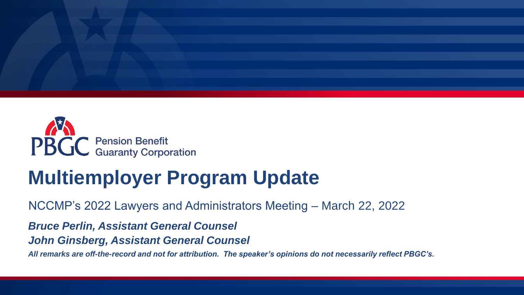



# **Multiemployer Program Update**

NCCMP's 2022 Lawyers and Administrators Meeting – March 22, 2022

*Bruce Perlin, Assistant General Counsel* 

*John Ginsberg, Assistant General Counsel* 

*All remarks are off-the-record and not for attribution. The speaker's opinions do not necessarily reflect PBGC's.*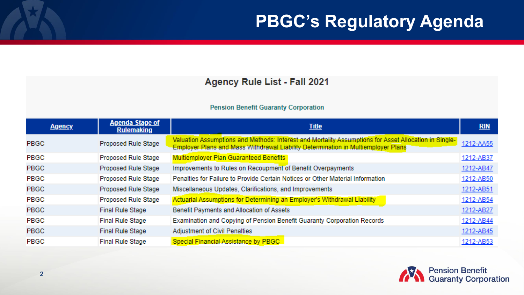#### Agency Rule List - Fall 2021

#### **Pension Benefit Guaranty Corporation**

| <b>Agency</b> | <b>Agenda Stage of</b><br><b>Rulemaking</b> | <b>Title</b>                                                                                                                                                                               | <b>RIN</b> |
|---------------|---------------------------------------------|--------------------------------------------------------------------------------------------------------------------------------------------------------------------------------------------|------------|
| <b>PBGC</b>   | Proposed Rule Stage                         | Valuation Assumptions and Methods: Interest and Mortality Assumptions for Asset Allocation in Single-<br>Employer Plans and Mass Withdrawal Liability Determination in Multiemployer Plans | 1212-AA55  |
| PBGC          | Proposed Rule Stage                         | <b>Multiemployer Plan Guaranteed Benefits</b>                                                                                                                                              | 1212-AB37  |
| <b>PBGC</b>   | Proposed Rule Stage                         | Improvements to Rules on Recoupment of Benefit Overpayments                                                                                                                                | 1212-AB47  |
| <b>PBGC</b>   | Proposed Rule Stage                         | Penalties for Failure to Provide Certain Notices or Other Material Information                                                                                                             | 1212-AB50  |
| <b>PBGC</b>   | Proposed Rule Stage                         | Miscellaneous Updates, Clarifications, and Improvements                                                                                                                                    | 1212-AB51  |
| <b>PBGC</b>   | Proposed Rule Stage                         | Actuarial Assumptions for Determining an Employer's Withdrawal Liability                                                                                                                   | 1212-AB54  |
| <b>PBGC</b>   | <b>Final Rule Stage</b>                     | Benefit Payments and Allocation of Assets                                                                                                                                                  | 1212-AB27  |
| PBGC          | <b>Final Rule Stage</b>                     | Examination and Copying of Pension Benefit Guaranty Corporation Records                                                                                                                    | 1212-AB44  |
| <b>PBGC</b>   | <b>Final Rule Stage</b>                     | <b>Adjustment of Civil Penalties</b>                                                                                                                                                       | 1212-AB45  |
| PBGC          | <b>Final Rule Stage</b>                     | Special Financial Assistance by PBGC                                                                                                                                                       | 1212-AB53  |

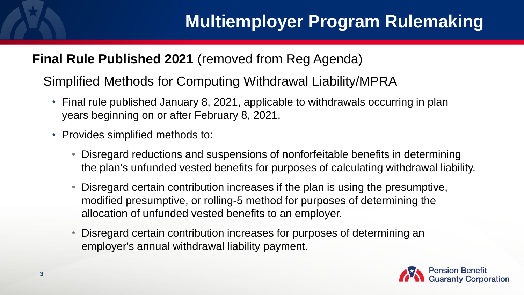### **Final Rule Published 2021** (removed from Reg Agenda)

Simplified Methods for Computing Withdrawal Liability/MPRA

- Final rule published January 8, 2021, applicable to withdrawals occurring in plan years beginning on or after February 8, 2021.
- Provides simplified methods to:
	- Disregard reductions and suspensions of nonforfeitable benefits in determining the plan's unfunded vested benefits for purposes of calculating withdrawal liability.
	- Disregard certain contribution increases if the plan is using the presumptive, modified presumptive, or rolling-5 method for purposes of determining the allocation of unfunded vested benefits to an employer.
	- Disregard certain contribution increases for purposes of determining an employer's annual withdrawal liability payment.

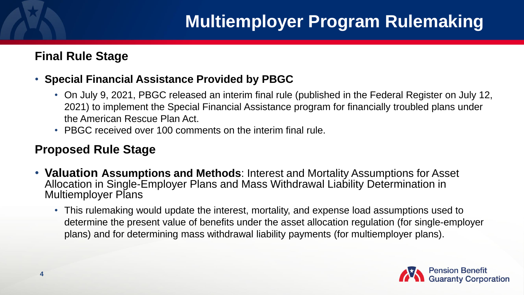## **Multiemployer Program Rulemaking**

#### **Final Rule Stage**

#### • **Special Financial Assistance Provided by PBGC**

- On July 9, 2021, PBGC released an interim final rule (published in the Federal Register on July 12, 2021) to implement the Special Financial Assistance program for financially troubled plans under the American Rescue Plan Act.
- PBGC received over 100 comments on the interim final rule.

#### **Proposed Rule Stage**

- **Valuation Assumptions and Methods**: Interest and Mortality Assumptions for Asset Allocation in Single-Employer Plans and Mass Withdrawal Liability Determination in Multiemployer Plans
	- This rulemaking would update the interest, mortality, and expense load assumptions used to determine the present value of benefits under the asset allocation regulation (for single-employer plans) and for determining mass withdrawal liability payments (for multiemployer plans).

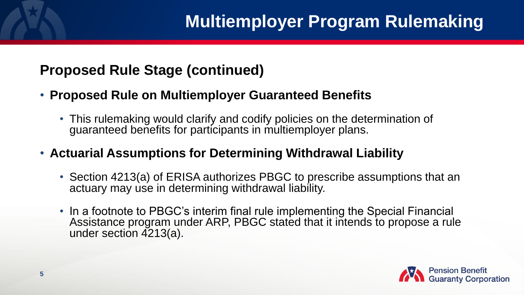## **Proposed Rule Stage (continued)**

- **Proposed Rule on Multiemployer Guaranteed Benefits**
	- This rulemaking would clarify and codify policies on the determination of guaranteed benefits for participants in multiemployer plans.
- **Actuarial Assumptions for Determining Withdrawal Liability**
	- Section 4213(a) of ERISA authorizes PBGC to prescribe assumptions that an actuary may use in determining withdrawal liability.
	- In a footnote to PBGC's interim final rule implementing the Special Financial Assistance program under ARP, PBGC stated that it intends to propose a rule under section 4213(a).

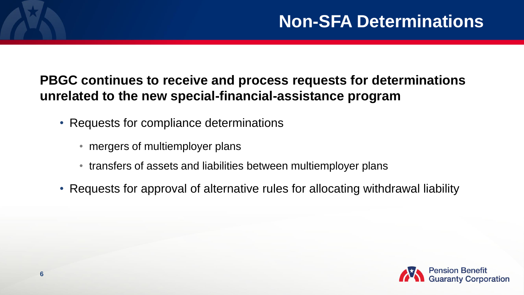### **PBGC continues to receive and process requests for determinations unrelated to the new special-financial-assistance program**

- Requests for compliance determinations
	- mergers of multiemployer plans
	- transfers of assets and liabilities between multiemployer plans
- Requests for approval of alternative rules for allocating withdrawal liability

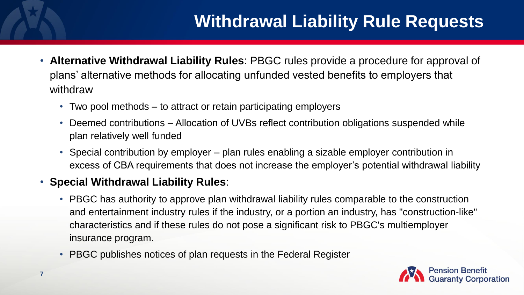## **Withdrawal Liability Rule Requests**

- **Alternative Withdrawal Liability Rules**: PBGC rules provide a procedure for approval of plans' alternative methods for allocating unfunded vested benefits to employers that withdraw
	- Two pool methods to attract or retain participating employers
	- Deemed contributions Allocation of UVBs reflect contribution obligations suspended while plan relatively well funded
	- Special contribution by employer plan rules enabling a sizable employer contribution in excess of CBA requirements that does not increase the employer's potential withdrawal liability

#### • **Special Withdrawal Liability Rules**:

- PBGC has authority to approve plan withdrawal liability rules comparable to the construction and entertainment industry rules if the industry, or a portion an industry, has "construction-like" characteristics and if these rules do not pose a significant risk to PBGC's multiemployer insurance program.
- PBGC publishes notices of plan requests in the Federal Register

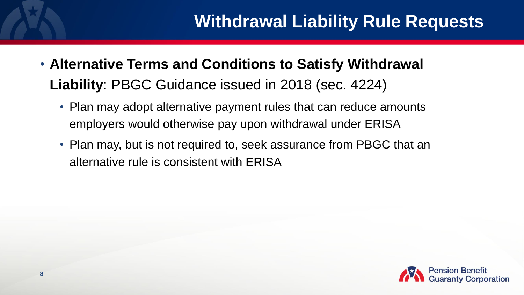## **Withdrawal Liability Rule Requests**

- **Alternative Terms and Conditions to Satisfy Withdrawal Liability**: PBGC Guidance issued in 2018 (sec. 4224)
	- Plan may adopt alternative payment rules that can reduce amounts employers would otherwise pay upon withdrawal under ERISA
	- Plan may, but is not required to, seek assurance from PBGC that an alternative rule is consistent with ERISA